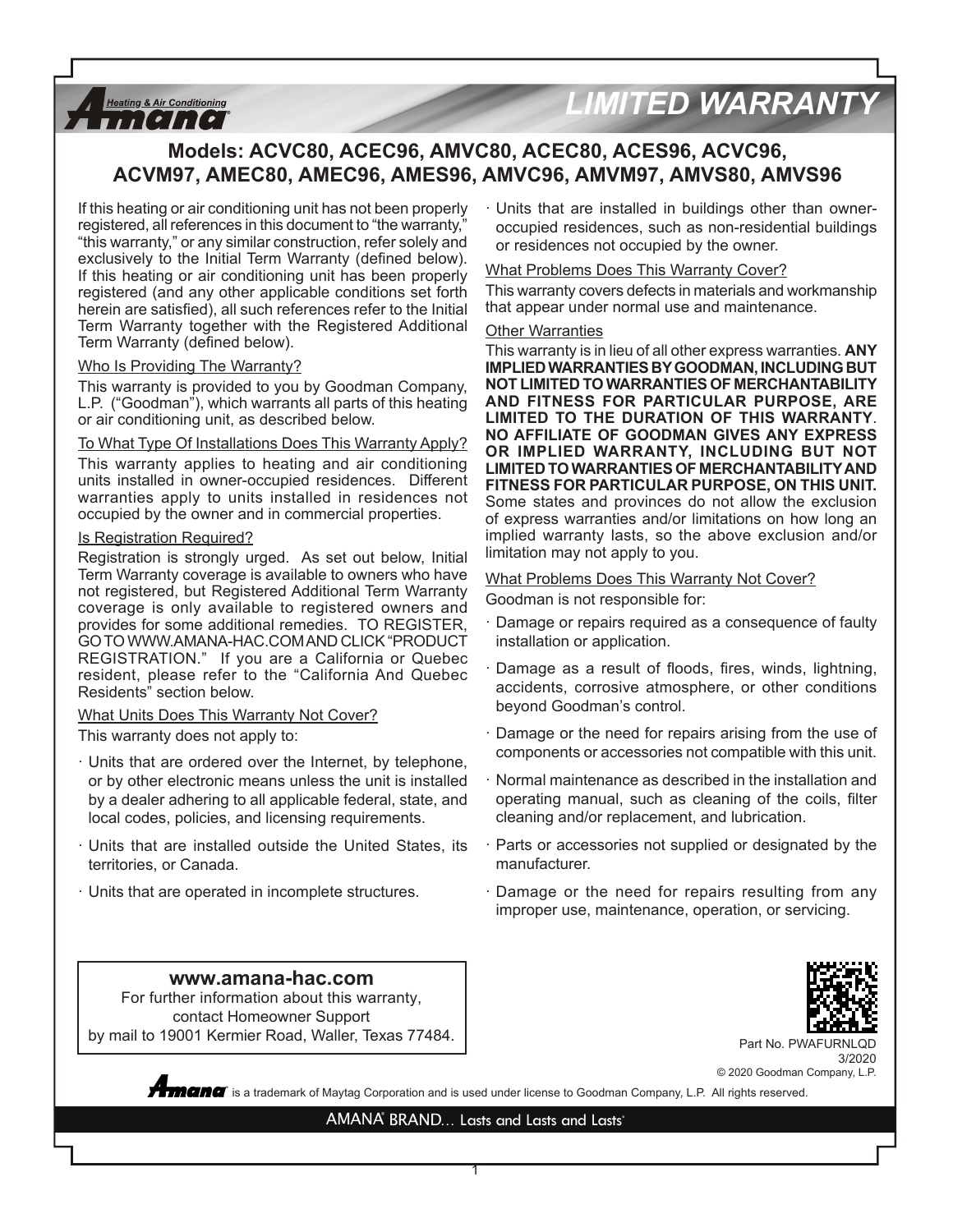# *LIMITED WARRANTY*

# **Models: ACVC80, ACEC96, AMVC80, ACEC80, ACES96, ACVC96, ACVM97, AMEC80, AMEC96, AMES96, AMVC96, AMVM97, AMVS80, AMVS96**

If this heating or air conditioning unit has not been properly registered, all references in this document to "the warranty," "this warranty," or any similar construction, refer solely and exclusively to the Initial Term Warranty (defined below). If this heating or air conditioning unit has been properly registered (and any other applicable conditions set forth herein are satisfied), all such references refer to the Initial Term Warranty together with the Registered Additional Term Warranty (defined below).

#### Who Is Providing The Warranty?

**Heating & Air Conditioning**  $11$ [[[[[

This warranty is provided to you by Goodman Company, L.P. ("Goodman"), which warrants all parts of this heating or air conditioning unit, as described below.

#### To What Type Of Installations Does This Warranty Apply?

This warranty applies to heating and air conditioning units installed in owner-occupied residences. Different warranties apply to units installed in residences not occupied by the owner and in commercial properties.

#### Is Registration Required?

Registration is strongly urged. As set out below, Initial Term Warranty coverage is available to owners who have not registered, but Registered Additional Term Warranty coverage is only available to registered owners and provides for some additional remedies. TO REGISTER, GO TO WWW.AMANA-HAC.COM AND CLICK "PRODUCT REGISTRATION." If you are a California or Quebec resident, please refer to the "California And Quebec Residents" section below.

#### What Units Does This Warranty Not Cover?

This warranty does not apply to:

- · Units that are ordered over the Internet, by telephone, or by other electronic means unless the unit is installed by a dealer adhering to all applicable federal, state, and local codes, policies, and licensing requirements.
- · Units that are installed outside the United States, its territories, or Canada.

**www.amana-hac.com** For further information about this warranty, contact Homeowner Support by mail to 19001 Kermier Road, Waller, Texas 77484.

· Units that are operated in incomplete structures.

· Units that are installed in buildings other than owneroccupied residences, such as non-residential buildings or residences not occupied by the owner.

#### What Problems Does This Warranty Cover?

This warranty covers defects in materials and workmanship that appear under normal use and maintenance.

#### Other Warranties

This warranty is in lieu of all other express warranties. **ANY IMPLIED WARRANTIES BY GOODMAN, INCLUDING BUT NOT LIMITED TO WARRANTIES OF MERCHANTABILITY AND FITNESS FOR PARTICULAR PURPOSE, ARE LIMITED TO THE DURATION OF THIS WARRANTY**. **NO AFFILIATE OF GOODMAN GIVES ANY EXPRESS OR IMPLIED WARRANTY, INCLUDING BUT NOT LIMITED TO WARRANTIES OF MERCHANTABILITY AND FITNESS FOR PARTICULAR PURPOSE, ON THIS UNIT.**  Some states and provinces do not allow the exclusion of express warranties and/or limitations on how long an implied warranty lasts, so the above exclusion and/or limitation may not apply to you.

#### What Problems Does This Warranty Not Cover?

Goodman is not responsible for:

- · Damage or repairs required as a consequence of faulty installation or application.
- Damage as a result of floods, fires, winds, lightning, accidents, corrosive atmosphere, or other conditions beyond Goodman's control.
- · Damage or the need for repairs arising from the use of components or accessories not compatible with this unit.
- · Normal maintenance as described in the installation and operating manual, such as cleaning of the coils, filter cleaning and/or replacement, and lubrication.
- · Parts or accessories not supplied or designated by the manufacturer.
- · Damage or the need for repairs resulting from any improper use, maintenance, operation, or servicing.



Part No. PWAFURNLQD 3/2020 © 2020 Goodman Company, L.P.

 $\degree$  is a trademark of Maytag Corporation and is used under license to Goodman Company, L.P. All rights reserved.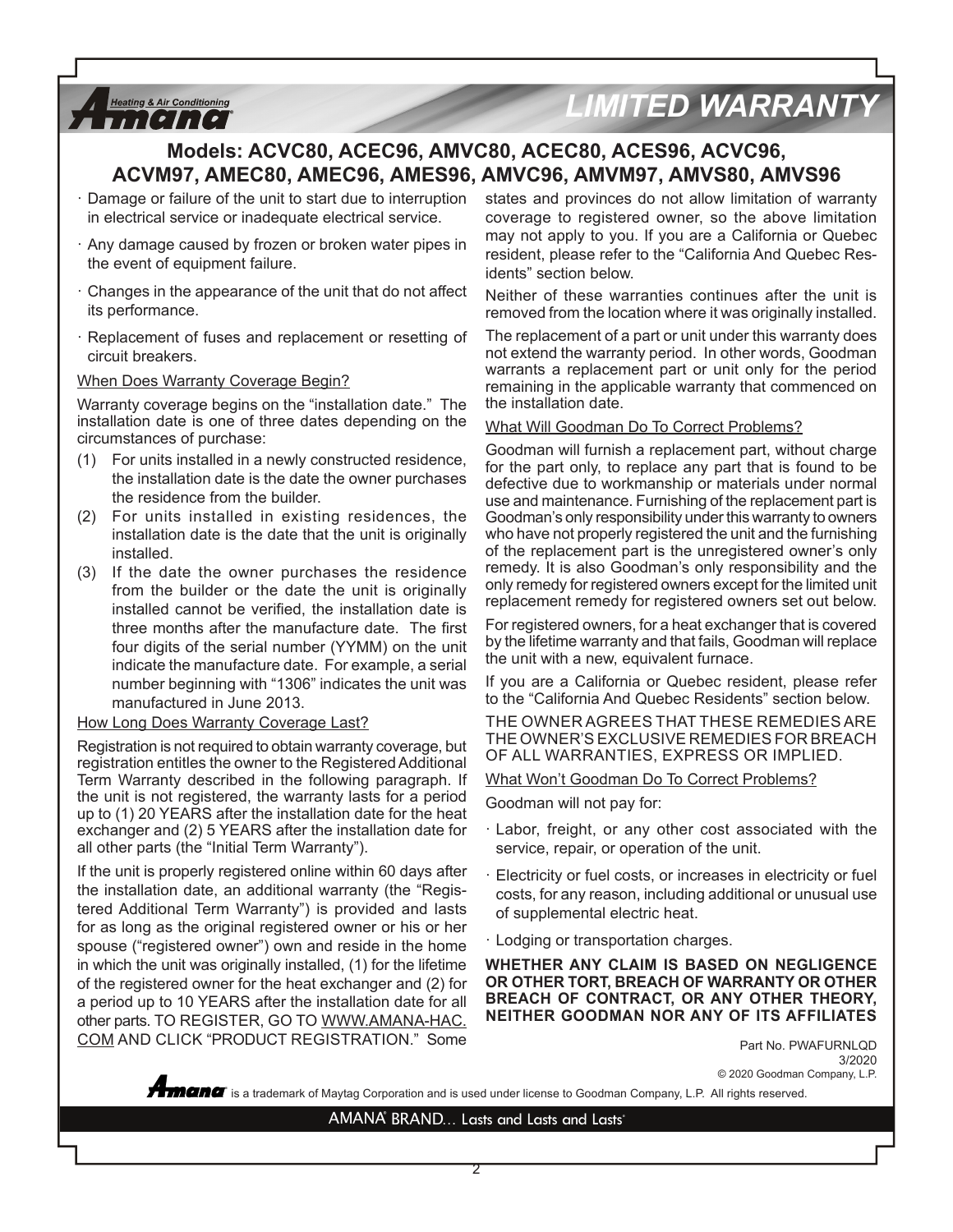# *LIMITED WARRANTY*

# **Models: ACVC80, ACEC96, AMVC80, ACEC80, ACES96, ACVC96, ACVM97, AMEC80, AMEC96, AMES96, AMVC96, AMVM97, AMVS80, AMVS96**

- Damage or failure of the unit to start due to interruption in electrical service or inadequate electrical service.
- · Any damage caused by frozen or broken water pipes in the event of equipment failure.
- Changes in the appearance of the unit that do not affect its performance.
- · Replacement of fuses and replacement or resetting of circuit breakers.

#### When Does Warranty Coverage Begin?

**Heating & Air Conditioning** *THEIRE* 

Warranty coverage begins on the "installation date." The installation date is one of three dates depending on the circumstances of purchase:

- (1) For units installed in a newly constructed residence, the installation date is the date the owner purchases the residence from the builder.
- (2) For units installed in existing residences, the installation date is the date that the unit is originally installed.
- (3) If the date the owner purchases the residence from the builder or the date the unit is originally installed cannot be verified, the installation date is three months after the manufacture date. The first four digits of the serial number (YYMM) on the unit indicate the manufacture date. For example, a serial number beginning with "1306" indicates the unit was manufactured in June 2013.

#### How Long Does Warranty Coverage Last?

Registration is not required to obtain warranty coverage, but registration entitles the owner to the Registered Additional Term Warranty described in the following paragraph. If the unit is not registered, the warranty lasts for a period up to (1) 20 YEARS after the installation date for the heat exchanger and (2) 5 YEARS after the installation date for all other parts (the "Initial Term Warranty").

If the unit is properly registered online within 60 days after the installation date, an additional warranty (the "Registered Additional Term Warranty") is provided and lasts for as long as the original registered owner or his or her spouse ("registered owner") own and reside in the home in which the unit was originally installed, (1) for the lifetime of the registered owner for the heat exchanger and (2) for a period up to 10 YEARS after the installation date for all other parts. TO REGISTER, GO TO WWW.AMANA-HAC. COM AND CLICK "PRODUCT REGISTRATION." Some

states and provinces do not allow limitation of warranty coverage to registered owner, so the above limitation may not apply to you. If you are a California or Quebec resident, please refer to the "California And Quebec Residents" section below.

Neither of these warranties continues after the unit is removed from the location where it was originally installed.

The replacement of a part or unit under this warranty does not extend the warranty period. In other words, Goodman warrants a replacement part or unit only for the period remaining in the applicable warranty that commenced on the installation date.

#### What Will Goodman Do To Correct Problems?

Goodman will furnish a replacement part, without charge for the part only, to replace any part that is found to be defective due to workmanship or materials under normal use and maintenance. Furnishing of the replacement part is Goodman's only responsibility under this warranty to owners who have not properly registered the unit and the furnishing of the replacement part is the unregistered owner's only remedy. It is also Goodman's only responsibility and the only remedy for registered owners except for the limited unit replacement remedy for registered owners set out below.

For registered owners, for a heat exchanger that is covered by the lifetime warranty and that fails, Goodman will replace the unit with a new, equivalent furnace.

If you are a California or Quebec resident, please refer to the "California And Quebec Residents" section below.

THE OWNER AGREES THAT THESE REMEDIES ARE THE OWNER'S EXCLUSIVE REMEDIES FOR BREACH OF ALL WARRANTIES, EXPRESS OR IMPLIED.

What Won't Goodman Do To Correct Problems?

Goodman will not pay for:

- · Labor, freight, or any other cost associated with the service, repair, or operation of the unit.
- Electricity or fuel costs, or increases in electricity or fuel costs, for any reason, including additional or unusual use of supplemental electric heat.
- · Lodging or transportation charges.

**WHETHER ANY CLAIM IS BASED ON NEGLIGENCE OR OTHER TORT, BREACH OF WARRANTY OR OTHER BREACH OF CONTRACT, OR ANY OTHER THEORY, NEITHER GOODMAN NOR ANY OF ITS AFFILIATES**

> Part No. PWAFURNLQD 3/2020 © 2020 Goodman Company, L.P.

**®** is a trademark of Maytag Corporation and is used under license to Goodman Company, L.P. All rights reserved.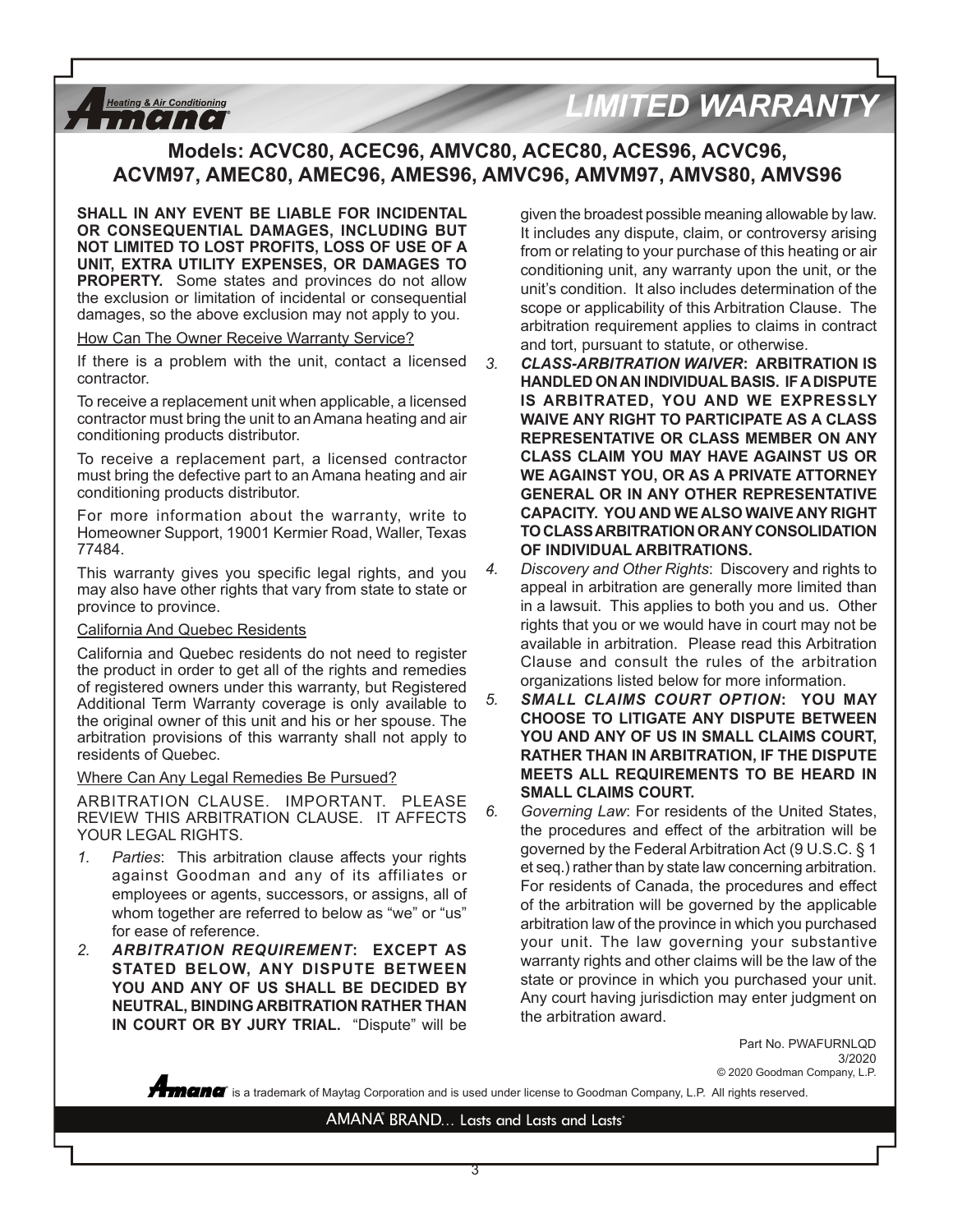# **LIMITED WARRANTY**

### **Models: ACVC80, ACEC96, AMVC80, ACEC80, ACES96, ACVC96, ACVM97, AMEC80, AMEC96, AMES96, AMVC96, AMVM97, AMVS80, AMVS96**

**SHALL IN ANY EVENT BE LIABLE FOR INCIDENTAL OR CONSEQUENTIAL DAMAGES, INCLUDING BUT NOT LIMITED TO LOST PROFITS, LOSS OF USE OF A UNIT, EXTRA UTILITY EXPENSES, OR DAMAGES TO PROPERTY.** Some states and provinces do not allow the exclusion or limitation of incidental or consequential damages, so the above exclusion may not apply to you.

How Can The Owner Receive Warranty Service?

**Heating & Air Conditioning**  $11$ [[[[[

If there is a problem with the unit, contact a licensed contractor.

To receive a replacement unit when applicable, a licensed contractor must bring the unit to an Amana heating and air conditioning products distributor.

To receive a replacement part, a licensed contractor must bring the defective part to an Amana heating and air conditioning products distributor.

For more information about the warranty, write to Homeowner Support, 19001 Kermier Road, Waller, Texas 77484.

This warranty gives you specific legal rights, and you may also have other rights that vary from state to state or province to province.

#### California And Quebec Residents

California and Quebec residents do not need to register the product in order to get all of the rights and remedies of registered owners under this warranty, but Registered Additional Term Warranty coverage is only available to the original owner of this unit and his or her spouse. The arbitration provisions of this warranty shall not apply to residents of Quebec.

#### Where Can Any Legal Remedies Be Pursued?

ARBITRATION CLAUSE. IMPORTANT. PLEASE REVIEW THIS ARBITRATION CLAUSE. IT AFFECTS YOUR LEGAL RIGHTS.

- *1. Parties*: This arbitration clause affects your rights against Goodman and any of its affiliates or employees or agents, successors, or assigns, all of whom together are referred to below as "we" or "us" for ease of reference.
- *2. ARBITRATION REQUIREMENT***: EXCEPT AS STATED BELOW, ANY DISPUTE BETWEEN YOU AND ANY OF US SHALL BE DECIDED BY NEUTRAL, BINDING ARBITRATION RATHER THAN IN COURT OR BY JURY TRIAL.** "Dispute" will be

given the broadest possible meaning allowable by law. It includes any dispute, claim, or controversy arising from or relating to your purchase of this heating or air conditioning unit, any warranty upon the unit, or the unit's condition. It also includes determination of the scope or applicability of this Arbitration Clause. The arbitration requirement applies to claims in contract and tort, pursuant to statute, or otherwise.

- *3. CLASS-ARBITRATION WAIVER***: ARBITRATION IS HANDLED ON AN INDIVIDUAL BASIS. IF A DISPUTE IS ARBITRATED, YOU AND WE EXPRESSLY WAIVE ANY RIGHT TO PARTICIPATE AS A CLASS REPRESENTATIVE OR CLASS MEMBER ON ANY CLASS CLAIM YOU MAY HAVE AGAINST US OR WE AGAINST YOU, OR AS A PRIVATE ATTORNEY GENERAL OR IN ANY OTHER REPRESENTATIVE CAPACITY. YOU AND WE ALSO WAIVE ANY RIGHT TO CLASS ARBITRATION OR ANY CONSOLIDATION OF INDIVIDUAL ARBITRATIONS.**
- *4. Discovery and Other Rights*: Discovery and rights to appeal in arbitration are generally more limited than in a lawsuit. This applies to both you and us. Other rights that you or we would have in court may not be available in arbitration. Please read this Arbitration Clause and consult the rules of the arbitration organizations listed below for more information.
- *5. SMALL CLAIMS COURT OPTION***: YOU MAY CHOOSE TO LITIGATE ANY DISPUTE BETWEEN YOU AND ANY OF US IN SMALL CLAIMS COURT, RATHER THAN IN ARBITRATION, IF THE DISPUTE MEETS ALL REQUIREMENTS TO BE HEARD IN SMALL CLAIMS COURT.**
- *6. Governing Law*: For residents of the United States, the procedures and effect of the arbitration will be governed by the Federal Arbitration Act (9 U.S.C. § 1 et seq.) rather than by state law concerning arbitration. For residents of Canada, the procedures and effect of the arbitration will be governed by the applicable arbitration law of the province in which you purchased your unit. The law governing your substantive warranty rights and other claims will be the law of the state or province in which you purchased your unit. Any court having jurisdiction may enter judgment on the arbitration award.

Part No. PWAFURNLQD 3/2020 © 2020 Goodman Company, L.P.

 $\degree$  is a trademark of Maytag Corporation and is used under license to Goodman Company, L.P. All rights reserved.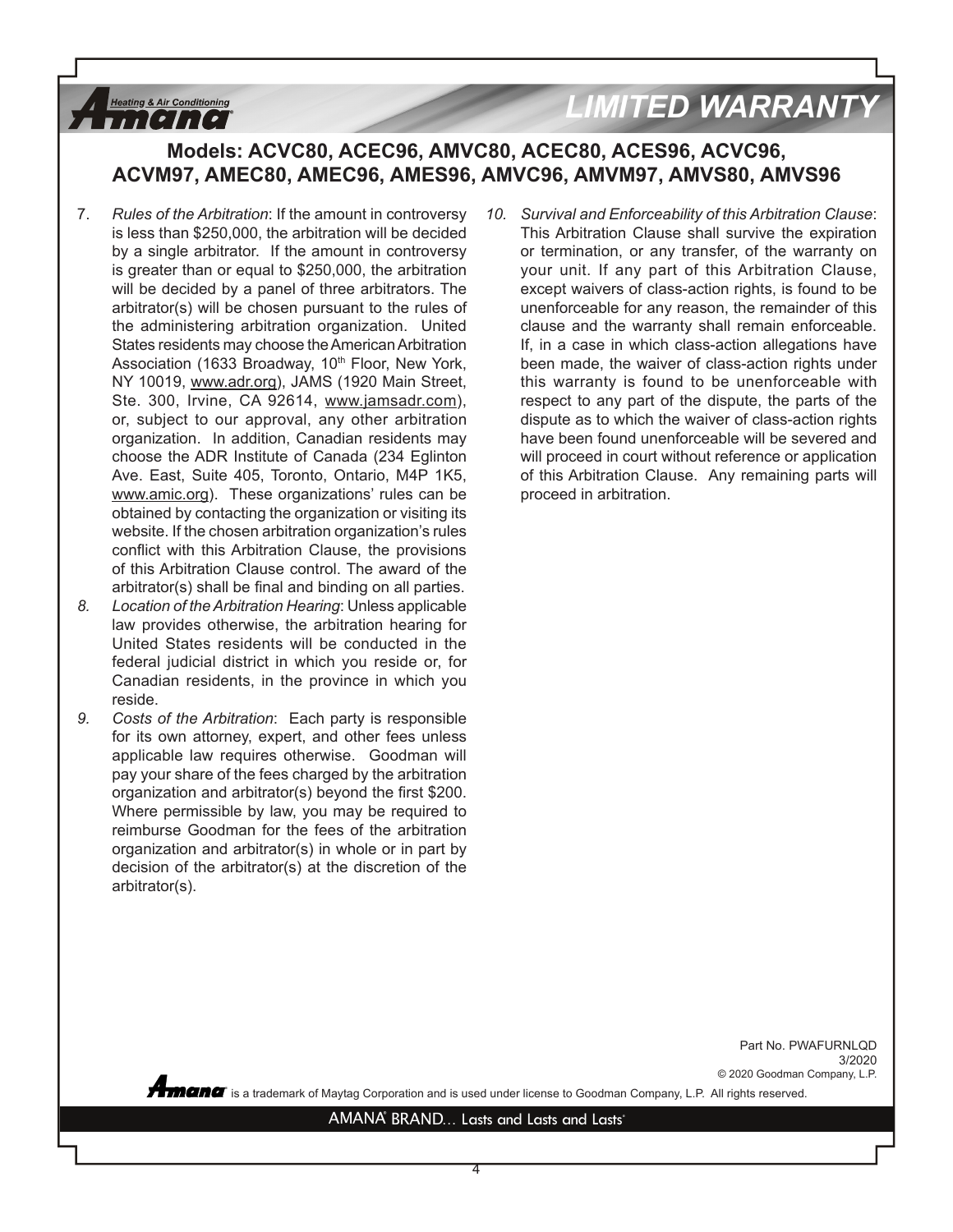# **LIMITED WARRANT**

# **Models: ACVC80, ACEC96, AMVC80, ACEC80, ACES96, ACVC96, ACVM97, AMEC80, AMEC96, AMES96, AMVC96, AMVM97, AMVS80, AMVS96**

7. *Rules of the Arbitration*: If the amount in controversy is less than \$250,000, the arbitration will be decided by a single arbitrator. If the amount in controversy is greater than or equal to \$250,000, the arbitration will be decided by a panel of three arbitrators. The arbitrator(s) will be chosen pursuant to the rules of the administering arbitration organization. United States residents may choose the American Arbitration Association (1633 Broadway, 10<sup>th</sup> Floor, New York, NY 10019, www.adr.org), JAMS (1920 Main Street, Ste. 300, Irvine, CA 92614, www.jamsadr.com), or, subject to our approval, any other arbitration organization. In addition, Canadian residents may choose the ADR Institute of Canada (234 Eglinton Ave. East, Suite 405, Toronto, Ontario, M4P 1K5, www.amic.org). These organizations' rules can be obtained by contacting the organization or visiting its website. If the chosen arbitration organization's rules conflict with this Arbitration Clause, the provisions of this Arbitration Clause control. The award of the arbitrator(s) shall be final and binding on all parties.

**Heating & Air Conditioning** *FILITET* 

- *8. Location of the Arbitration Hearing*: Unless applicable law provides otherwise, the arbitration hearing for United States residents will be conducted in the federal judicial district in which you reside or, for Canadian residents, in the province in which you reside.
- *9. Costs of the Arbitration*: Each party is responsible for its own attorney, expert, and other fees unless applicable law requires otherwise. Goodman will pay your share of the fees charged by the arbitration organization and arbitrator(s) beyond the first \$200. Where permissible by law, you may be required to reimburse Goodman for the fees of the arbitration organization and arbitrator(s) in whole or in part by decision of the arbitrator(s) at the discretion of the arbitrator(s).

*10. Survival and Enforceability of this Arbitration Clause*: This Arbitration Clause shall survive the expiration or termination, or any transfer, of the warranty on your unit. If any part of this Arbitration Clause, except waivers of class-action rights, is found to be unenforceable for any reason, the remainder of this clause and the warranty shall remain enforceable. If, in a case in which class-action allegations have been made, the waiver of class-action rights under this warranty is found to be unenforceable with respect to any part of the dispute, the parts of the dispute as to which the waiver of class-action rights have been found unenforceable will be severed and will proceed in court without reference or application of this Arbitration Clause. Any remaining parts will proceed in arbitration.

> Part No. PWAFURNLQD 3/2020 © 2020 Goodman Company, L.P.

**®** is a trademark of Maytag Corporation and is used under license to Goodman Company, L.P. All rights reserved.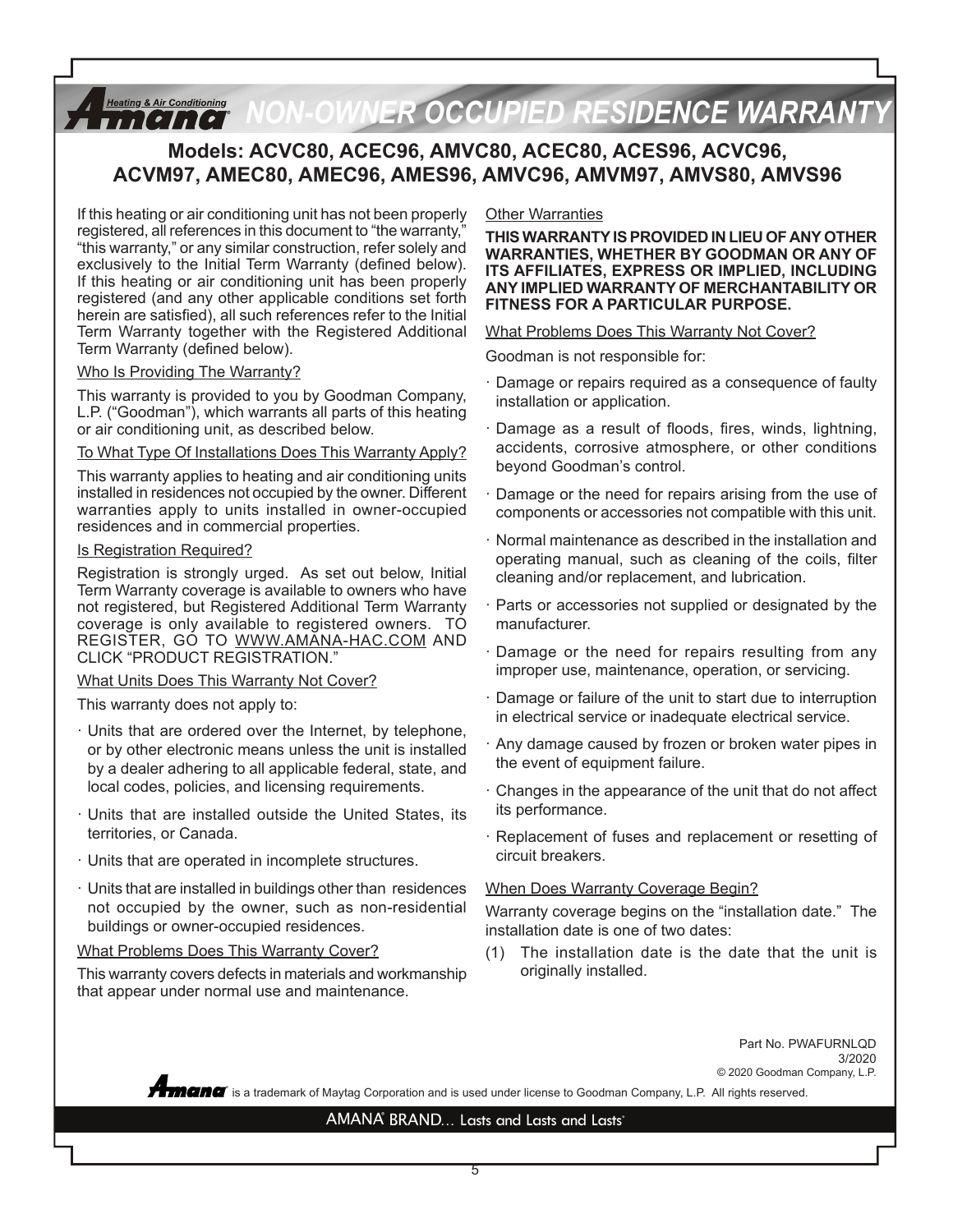### *NON-OWNER OCCUPIED RESIDENCE WARRANTY* **Heating & Air Conditioning**

## **Models: ACVC80, ACEC96, AMVC80, ACEC80, ACES96, ACVC96, ACVM97, AMEC80, AMEC96, AMES96, AMVC96, AMVM97, AMVS80, AMVS96**

If this heating or air conditioning unit has not been properly registered, all references in this document to "the warranty," "this warranty," or any similar construction, refer solely and exclusively to the Initial Term Warranty (defined below). If this heating or air conditioning unit has been properly registered (and any other applicable conditions set forth herein are satisfied), all such references refer to the Initial Term Warranty together with the Registered Additional Term Warranty (defined below).

#### Who Is Providing The Warranty?

This warranty is provided to you by Goodman Company, L.P. ("Goodman"), which warrants all parts of this heating or air conditioning unit, as described below.

#### To What Type Of Installations Does This Warranty Apply?

This warranty applies to heating and air conditioning units installed in residences not occupied by the owner. Different warranties apply to units installed in owner-occupied residences and in commercial properties.

#### Is Registration Required?

Registration is strongly urged. As set out below, Initial Term Warranty coverage is available to owners who have not registered, but Registered Additional Term Warranty coverage is only available to registered owners. TO REGISTER, GO TO WWW.AMANA-HAC.COM AND CLICK "PRODUCT REGISTRATION."

#### What Units Does This Warranty Not Cover?

This warranty does not apply to:

- · Units that are ordered over the Internet, by telephone, or by other electronic means unless the unit is installed by a dealer adhering to all applicable federal, state, and local codes, policies, and licensing requirements.
- · Units that are installed outside the United States, its territories, or Canada.
- · Units that are operated in incomplete structures.
- · Units that are installed in buildings other than residences not occupied by the owner, such as non-residential buildings or owner-occupied residences.

#### What Problems Does This Warranty Cover?

This warranty covers defects in materials and workmanship that appear under normal use and maintenance.

#### Other Warranties

**THIS WARRANTY IS PROVIDED IN LIEU OF ANY OTHER WARRANTIES, WHETHER BY GOODMAN OR ANY OF ITS AFFILIATES, EXPRESS OR IMPLIED, INCLUDING ANY IMPLIED WARRANTY OF MERCHANTABILITY OR FITNESS FOR A PARTICULAR PURPOSE.**

#### What Problems Does This Warranty Not Cover?

Goodman is not responsible for:

- · Damage or repairs required as a consequence of faulty installation or application.
- Damage as a result of floods, fires, winds, lightning, accidents, corrosive atmosphere, or other conditions beyond Goodman's control.
- Damage or the need for repairs arising from the use of components or accessories not compatible with this unit.
- · Normal maintenance as described in the installation and operating manual, such as cleaning of the coils, filter cleaning and/or replacement, and lubrication.
- Parts or accessories not supplied or designated by the manufacturer.
- Damage or the need for repairs resulting from any improper use, maintenance, operation, or servicing.
- · Damage or failure of the unit to start due to interruption in electrical service or inadequate electrical service.
- · Any damage caused by frozen or broken water pipes in the event of equipment failure.
- · Changes in the appearance of the unit that do not affect its performance.
- · Replacement of fuses and replacement or resetting of circuit breakers.

#### When Does Warranty Coverage Begin?

Warranty coverage begins on the "installation date." The installation date is one of two dates:

(1) The installation date is the date that the unit is originally installed.

> Part No. PWAFURNLQD 3/2020 © 2020 Goodman Company, L.P.

 $\degree$  is a trademark of Maytag Corporation and is used under license to Goodman Company, L.P. All rights reserved.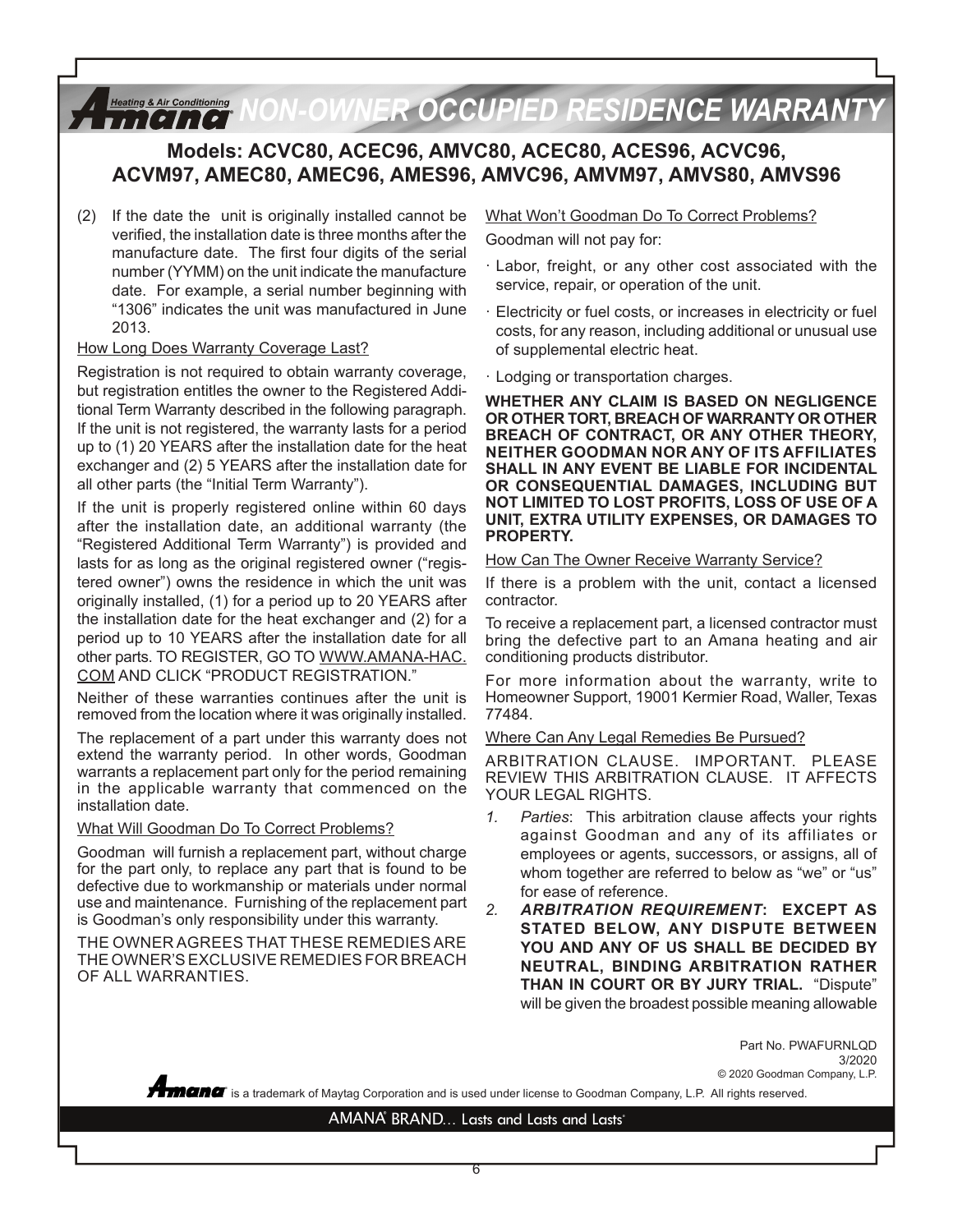# *Heating & Air Conditioning* NON-OWNER OCCUPIED RESIDENCE WARRANTY

## **Models: ACVC80, ACEC96, AMVC80, ACEC80, ACES96, ACVC96, ACVM97, AMEC80, AMEC96, AMES96, AMVC96, AMVM97, AMVS80, AMVS96**

(2) If the date the unit is originally installed cannot be verified, the installation date is three months after the manufacture date. The first four digits of the serial number (YYMM) on the unit indicate the manufacture date. For example, a serial number beginning with "1306" indicates the unit was manufactured in June 2013.

#### How Long Does Warranty Coverage Last?

Registration is not required to obtain warranty coverage, but registration entitles the owner to the Registered Additional Term Warranty described in the following paragraph. If the unit is not registered, the warranty lasts for a period up to (1) 20 YEARS after the installation date for the heat exchanger and (2) 5 YEARS after the installation date for all other parts (the "Initial Term Warranty").

If the unit is properly registered online within 60 days after the installation date, an additional warranty (the "Registered Additional Term Warranty") is provided and lasts for as long as the original registered owner ("registered owner") owns the residence in which the unit was originally installed, (1) for a period up to 20 YEARS after the installation date for the heat exchanger and (2) for a period up to 10 YEARS after the installation date for all other parts. TO REGISTER, GO TO WWW.AMANA-HAC. COM AND CLICK "PRODUCT REGISTRATION."

Neither of these warranties continues after the unit is removed from the location where it was originally installed.

The replacement of a part under this warranty does not extend the warranty period. In other words, Goodman warrants a replacement part only for the period remaining in the applicable warranty that commenced on the installation date.

#### What Will Goodman Do To Correct Problems?

Goodman will furnish a replacement part, without charge for the part only, to replace any part that is found to be defective due to workmanship or materials under normal use and maintenance. Furnishing of the replacement part is Goodman's only responsibility under this warranty.

THE OWNER AGREES THAT THESE REMEDIES ARE THE OWNER'S EXCLUSIVE REMEDIES FOR BREACH OF ALL WARRANTIES.

### What Won't Goodman Do To Correct Problems? Goodman will not pay for:

- · Labor, freight, or any other cost associated with the service, repair, or operation of the unit.
- · Electricity or fuel costs, or increases in electricity or fuel costs, for any reason, including additional or unusual use of supplemental electric heat.
- · Lodging or transportation charges.

**WHETHER ANY CLAIM IS BASED ON NEGLIGENCE OR OTHER TORT, BREACH OF WARRANTY OR OTHER BREACH OF CONTRACT, OR ANY OTHER THEORY, NEITHER GOODMAN NOR ANY OF ITS AFFILIATES SHALL IN ANY EVENT BE LIABLE FOR INCIDENTAL OR CONSEQUENTIAL DAMAGES, INCLUDING BUT NOT LIMITED TO LOST PROFITS, LOSS OF USE OF A UNIT, EXTRA UTILITY EXPENSES, OR DAMAGES TO PROPERTY.**

How Can The Owner Receive Warranty Service?

If there is a problem with the unit, contact a licensed contractor.

To receive a replacement part, a licensed contractor must bring the defective part to an Amana heating and air conditioning products distributor.

For more information about the warranty, write to Homeowner Support, 19001 Kermier Road, Waller, Texas 77484.

Where Can Any Legal Remedies Be Pursued?

ARBITRATION CLAUSE. IMPORTANT. PLEASE REVIEW THIS ARBITRATION CLAUSE. IT AFFECTS YOUR LEGAL RIGHTS.

- *1. Parties*: This arbitration clause affects your rights against Goodman and any of its affiliates or employees or agents, successors, or assigns, all of whom together are referred to below as "we" or "us" for ease of reference.
- *2. ARBITRATION REQUIREMENT***: EXCEPT AS STATED BELOW, ANY DISPUTE BETWEEN YOU AND ANY OF US SHALL BE DECIDED BY NEUTRAL, BINDING ARBITRATION RATHER THAN IN COURT OR BY JURY TRIAL.** "Dispute" will be given the broadest possible meaning allowable

Part No. PWAFURNLQD

3/2020

**®** is a trademark of Maytag Corporation and is used under license to Goodman Company, L.P. All rights reserved. © 2020 Goodman Company, L.P.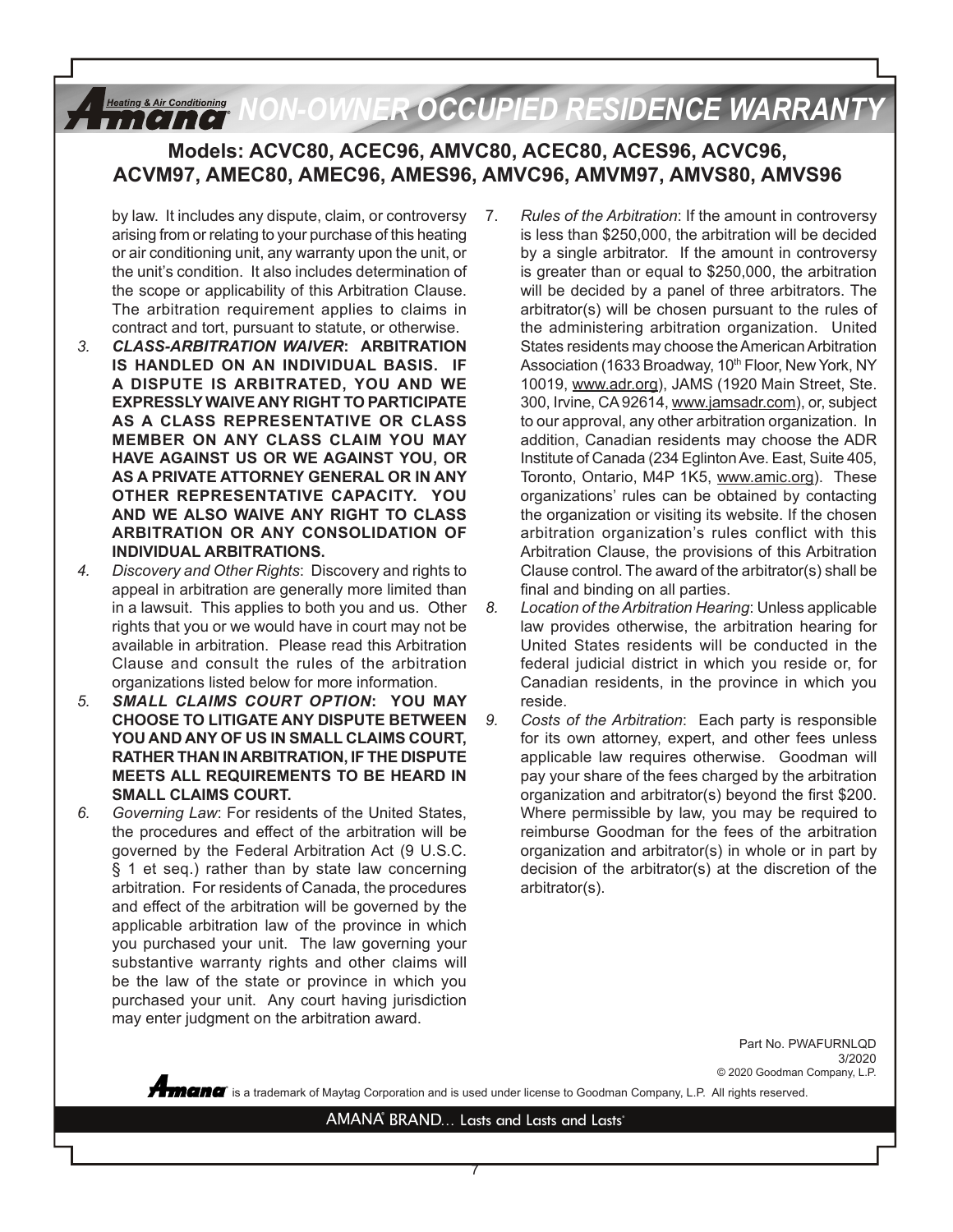#### *NON-OWNER OCCUPIED RESIDENCE WARRANTY***Heating & Air Conditioning**  $11$ [?]  $11$ [?]

### **Models: ACVC80, ACEC96, AMVC80, ACEC80, ACES96, ACVC96, ACVM97, AMEC80, AMEC96, AMES96, AMVC96, AMVM97, AMVS80, AMVS96**

- by law. It includes any dispute, claim, or controversy arising from or relating to your purchase of this heating or air conditioning unit, any warranty upon the unit, or the unit's condition. It also includes determination of the scope or applicability of this Arbitration Clause. The arbitration requirement applies to claims in contract and tort, pursuant to statute, or otherwise.
- *3. CLASS-ARBITRATION WAIVER***: ARBITRATION IS HANDLED ON AN INDIVIDUAL BASIS. IF A DISPUTE IS ARBITRATED, YOU AND WE EXPRESSLY WAIVE ANY RIGHT TO PARTICIPATE AS A CLASS REPRESENTATIVE OR CLASS MEMBER ON ANY CLASS CLAIM YOU MAY HAVE AGAINST US OR WE AGAINST YOU, OR AS A PRIVATE ATTORNEY GENERAL OR IN ANY OTHER REPRESENTATIVE CAPACITY. YOU AND WE ALSO WAIVE ANY RIGHT TO CLASS ARBITRATION OR ANY CONSOLIDATION OF INDIVIDUAL ARBITRATIONS.**
- *4. Discovery and Other Rights*: Discovery and rights to appeal in arbitration are generally more limited than in a lawsuit. This applies to both you and us. Other rights that you or we would have in court may not be available in arbitration. Please read this Arbitration Clause and consult the rules of the arbitration organizations listed below for more information.
- *5. SMALL CLAIMS COURT OPTION***: YOU MAY CHOOSE TO LITIGATE ANY DISPUTE BETWEEN YOU AND ANY OF US IN SMALL CLAIMS COURT, RATHER THAN IN ARBITRATION, IF THE DISPUTE MEETS ALL REQUIREMENTS TO BE HEARD IN SMALL CLAIMS COURT.**
- *6. Governing Law*: For residents of the United States, the procedures and effect of the arbitration will be governed by the Federal Arbitration Act (9 U.S.C. § 1 et seq.) rather than by state law concerning arbitration. For residents of Canada, the procedures and effect of the arbitration will be governed by the applicable arbitration law of the province in which you purchased your unit. The law governing your substantive warranty rights and other claims will be the law of the state or province in which you purchased your unit. Any court having jurisdiction may enter judgment on the arbitration award.
- 7. *Rules of the Arbitration*: If the amount in controversy is less than \$250,000, the arbitration will be decided by a single arbitrator. If the amount in controversy is greater than or equal to \$250,000, the arbitration will be decided by a panel of three arbitrators. The arbitrator(s) will be chosen pursuant to the rules of the administering arbitration organization. United States residents may choose the American Arbitration Association (1633 Broadway, 10<sup>th</sup> Floor, New York, NY 10019, www.adr.org), JAMS (1920 Main Street, Ste. 300, Irvine, CA 92614, www.jamsadr.com), or, subject to our approval, any other arbitration organization. In addition, Canadian residents may choose the ADR Institute of Canada (234 Eglinton Ave. East, Suite 405, Toronto, Ontario, M4P 1K5, www.amic.org). These organizations' rules can be obtained by contacting the organization or visiting its website. If the chosen arbitration organization's rules conflict with this Arbitration Clause, the provisions of this Arbitration Clause control. The award of the arbitrator(s) shall be final and binding on all parties.
- *8. Location of the Arbitration Hearing*: Unless applicable law provides otherwise, the arbitration hearing for United States residents will be conducted in the federal judicial district in which you reside or, for Canadian residents, in the province in which you reside.
- *9. Costs of the Arbitration*: Each party is responsible for its own attorney, expert, and other fees unless applicable law requires otherwise. Goodman will pay your share of the fees charged by the arbitration organization and arbitrator(s) beyond the first \$200. Where permissible by law, you may be required to reimburse Goodman for the fees of the arbitration organization and arbitrator(s) in whole or in part by decision of the arbitrator(s) at the discretion of the arbitrator(s).

Part No. PWAFURNLQD 3/2020 © 2020 Goodman Company, L.P.

 $\degree$  is a trademark of Maytag Corporation and is used under license to Goodman Company, L.P. All rights reserved.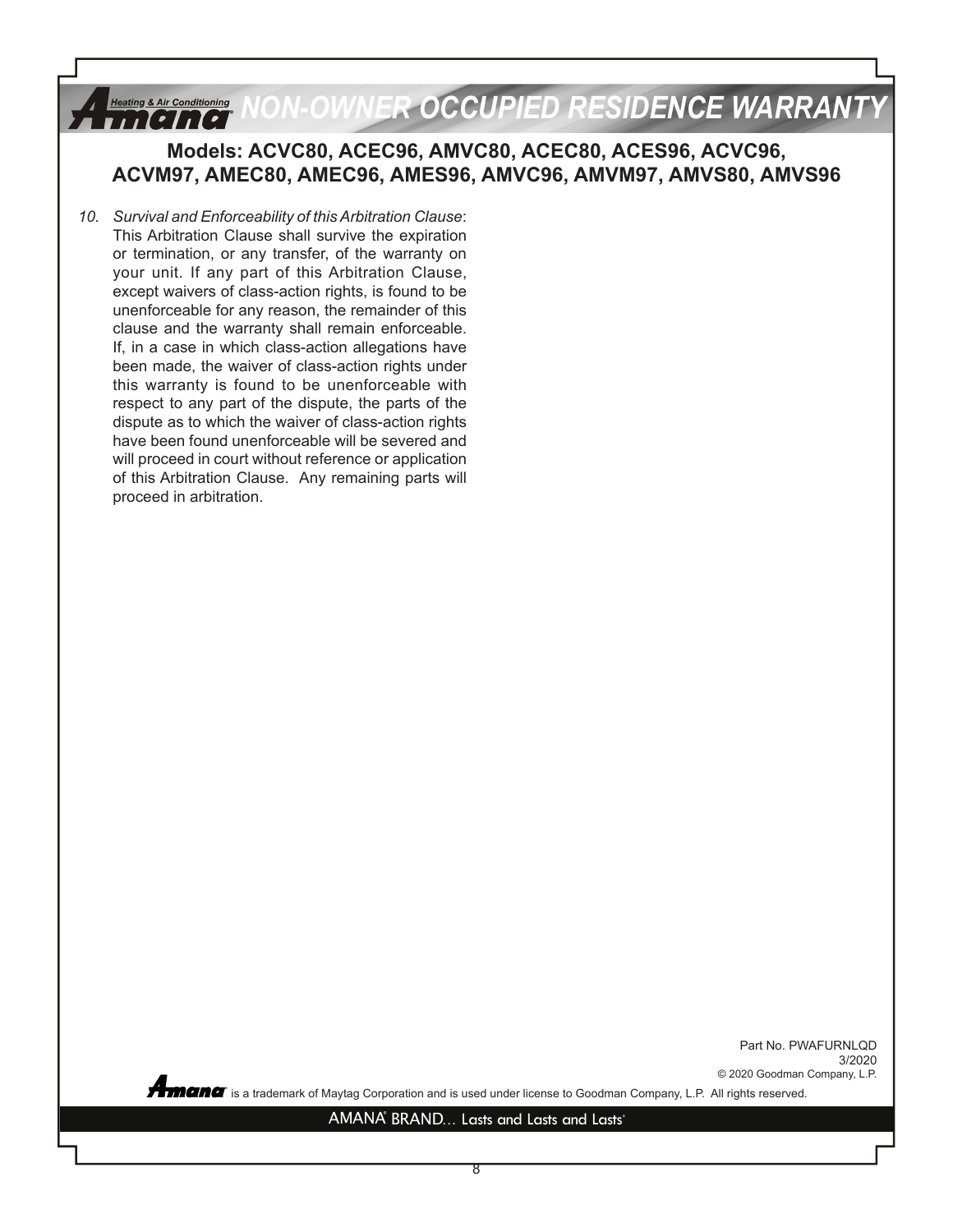#### *OWNER OCCUPIED RESIDENCE WARRANTY* **Heating & Air Conditioning** *i i tetitel*

### **Models: ACVC80, ACEC96, AMVC80, ACEC80, ACES96, ACVC96, ACVM97, AMEC80, AMEC96, AMES96, AMVC96, AMVM97, AMVS80, AMVS96**

*10. Survival and Enforceability of this Arbitration Clause*: This Arbitration Clause shall survive the expiration or termination, or any transfer, of the warranty on your unit. If any part of this Arbitration Clause, except waivers of class-action rights, is found to be unenforceable for any reason, the remainder of this clause and the warranty shall remain enforceable. If, in a case in which class-action allegations have been made, the waiver of class-action rights under this warranty is found to be unenforceable with respect to any part of the dispute, the parts of the dispute as to which the waiver of class-action rights have been found unenforceable will be severed and will proceed in court without reference or application of this Arbitration Clause. Any remaining parts will proceed in arbitration.

> Part No. PWAFURNLQD 3/2020 © 2020 Goodman Company, L.P.

**®** is a trademark of Maytag Corporation and is used under license to Goodman Company, L.P. All rights reserved.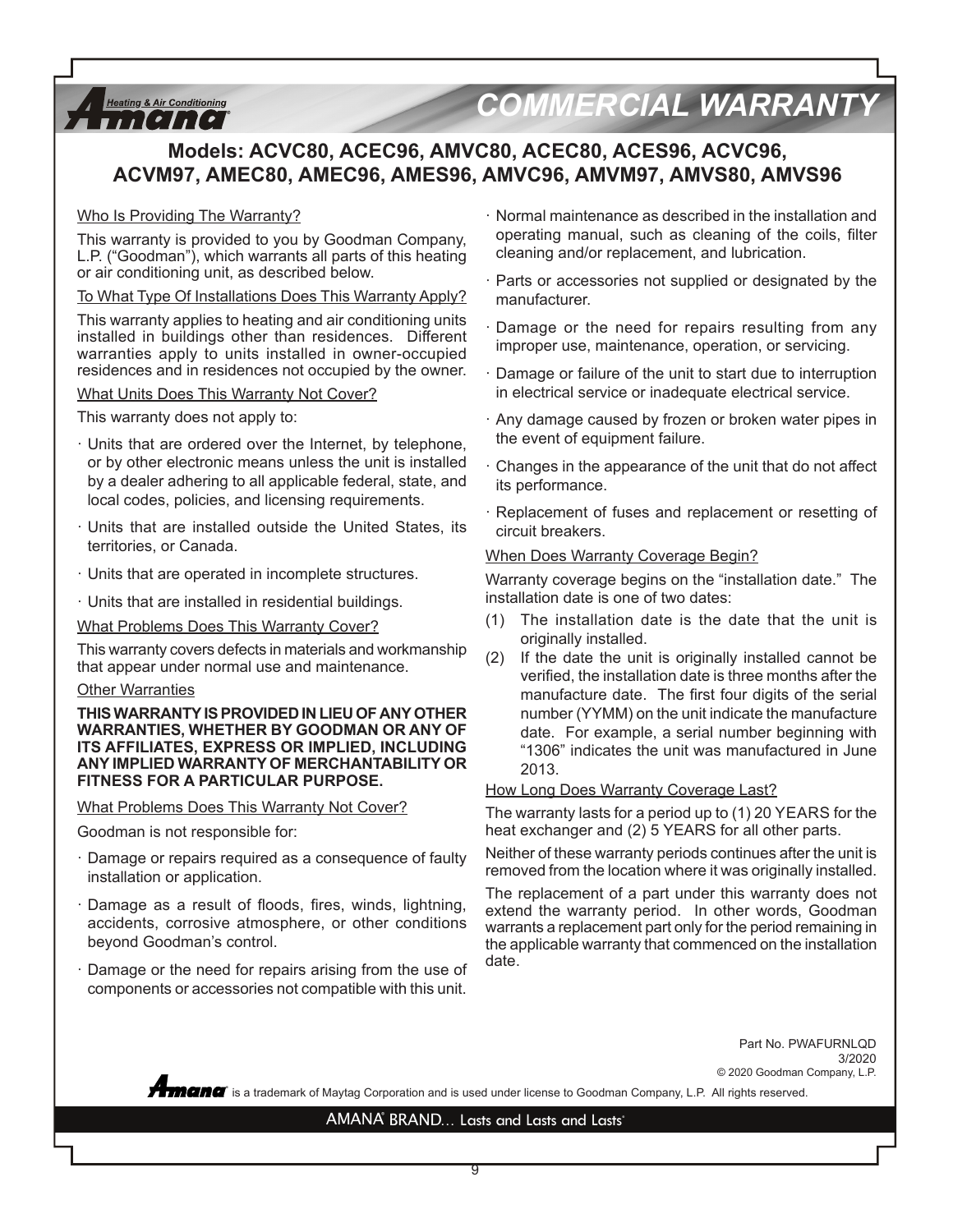

# *COMMERCIAL WARRANTY*

## **Models: ACVC80, ACEC96, AMVC80, ACEC80, ACES96, ACVC96, ACVM97, AMEC80, AMEC96, AMES96, AMVC96, AMVM97, AMVS80, AMVS96**

#### Who Is Providing The Warranty?

This warranty is provided to you by Goodman Company, L.P. ("Goodman"), which warrants all parts of this heating or air conditioning unit, as described below.

To What Type Of Installations Does This Warranty Apply?

This warranty applies to heating and air conditioning units installed in buildings other than residences. Different warranties apply to units installed in owner-occupied residences and in residences not occupied by the owner.

#### What Units Does This Warranty Not Cover?

This warranty does not apply to:

- · Units that are ordered over the Internet, by telephone, or by other electronic means unless the unit is installed by a dealer adhering to all applicable federal, state, and local codes, policies, and licensing requirements.
- Units that are installed outside the United States, its territories, or Canada.
- · Units that are operated in incomplete structures.
- · Units that are installed in residential buildings.

What Problems Does This Warranty Cover?

This warranty covers defects in materials and workmanship that appear under normal use and maintenance.

#### Other Warranties

**THIS WARRANTY IS PROVIDED IN LIEU OF ANY OTHER WARRANTIES, WHETHER BY GOODMAN OR ANY OF ITS AFFILIATES, EXPRESS OR IMPLIED, INCLUDING ANY IMPLIED WARRANTY OF MERCHANTABILITY OR FITNESS FOR A PARTICULAR PURPOSE.** 

#### What Problems Does This Warranty Not Cover?

Goodman is not responsible for:

- Damage or repairs required as a consequence of faulty installation or application.
- Damage as a result of floods, fires, winds, lightning, accidents, corrosive atmosphere, or other conditions beyond Goodman's control.
- Damage or the need for repairs arising from the use of components or accessories not compatible with this unit.
- · Normal maintenance as described in the installation and operating manual, such as cleaning of the coils, filter cleaning and/or replacement, and lubrication.
- · Parts or accessories not supplied or designated by the manufacturer.
- · Damage or the need for repairs resulting from any improper use, maintenance, operation, or servicing.
- Damage or failure of the unit to start due to interruption in electrical service or inadequate electrical service.
- · Any damage caused by frozen or broken water pipes in the event of equipment failure.
- Changes in the appearance of the unit that do not affect its performance.
- · Replacement of fuses and replacement or resetting of circuit breakers.

#### When Does Warranty Coverage Begin?

Warranty coverage begins on the "installation date." The installation date is one of two dates:

- (1) The installation date is the date that the unit is originally installed.
- (2) If the date the unit is originally installed cannot be verified, the installation date is three months after the manufacture date. The first four digits of the serial number (YYMM) on the unit indicate the manufacture date. For example, a serial number beginning with "1306" indicates the unit was manufactured in June 2013.

#### How Long Does Warranty Coverage Last?

The warranty lasts for a period up to (1) 20 YEARS for the heat exchanger and (2) 5 YEARS for all other parts.

Neither of these warranty periods continues after the unit is removed from the location where it was originally installed.

The replacement of a part under this warranty does not extend the warranty period. In other words, Goodman warrants a replacement part only for the period remaining in the applicable warranty that commenced on the installation date.

> Part No. PWAFURNLQD 3/2020 © 2020 Goodman Company, L.P.

 $\degree$  is a trademark of Maytag Corporation and is used under license to Goodman Company, L.P. All rights reserved.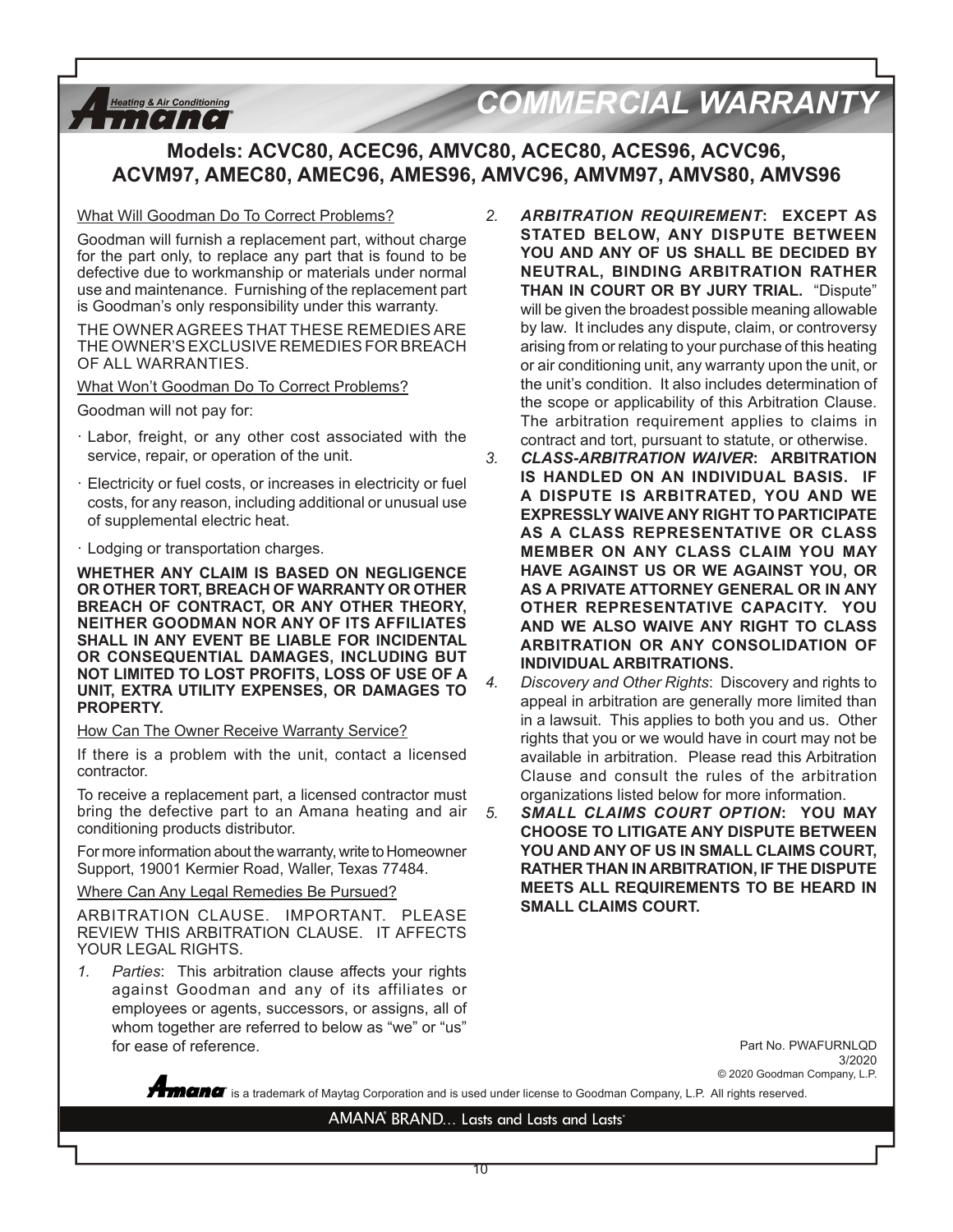#### **Heating & Air Conditioning** *THEIRE*

# *COMMERCIAL WARRANTY*

### **Models: ACVC80, ACEC96, AMVC80, ACEC80, ACES96, ACVC96, ACVM97, AMEC80, AMEC96, AMES96, AMVC96, AMVM97, AMVS80, AMVS96**

#### What Will Goodman Do To Correct Problems?

Goodman will furnish a replacement part, without charge for the part only, to replace any part that is found to be defective due to workmanship or materials under normal use and maintenance. Furnishing of the replacement part is Goodman's only responsibility under this warranty.

THE OWNER AGREES THAT THESE REMEDIES ARE THE OWNER'S EXCLUSIVE REMEDIES FOR BREACH OF ALL WARRANTIES.

What Won't Goodman Do To Correct Problems?

Goodman will not pay for:

- · Labor, freight, or any other cost associated with the service, repair, or operation of the unit.
- · Electricity or fuel costs, or increases in electricity or fuel costs, for any reason, including additional or unusual use of supplemental electric heat.
- · Lodging or transportation charges.

**WHETHER ANY CLAIM IS BASED ON NEGLIGENCE OR OTHER TORT, BREACH OF WARRANTY OR OTHER BREACH OF CONTRACT, OR ANY OTHER THEORY, NEITHER GOODMAN NOR ANY OF ITS AFFILIATES SHALL IN ANY EVENT BE LIABLE FOR INCIDENTAL OR CONSEQUENTIAL DAMAGES, INCLUDING BUT NOT LIMITED TO LOST PROFITS, LOSS OF USE OF A UNIT, EXTRA UTILITY EXPENSES, OR DAMAGES TO PROPERTY.**

How Can The Owner Receive Warranty Service?

If there is a problem with the unit, contact a licensed contractor.

To receive a replacement part, a licensed contractor must bring the defective part to an Amana heating and air conditioning products distributor.

For more information about the warranty, write to Homeowner Support, 19001 Kermier Road, Waller, Texas 77484.

Where Can Any Legal Remedies Be Pursued?

ARBITRATION CLAUSE. IMPORTANT. PLEASE REVIEW THIS ARBITRATION CLAUSE. IT AFFECTS YOUR LEGAL RIGHTS.

*1. Parties*: This arbitration clause affects your rights against Goodman and any of its affiliates or employees or agents, successors, or assigns, all of whom together are referred to below as "we" or "us" for ease of reference.

- *2. ARBITRATION REQUIREMENT***: EXCEPT AS STATED BELOW, ANY DISPUTE BETWEEN YOU AND ANY OF US SHALL BE DECIDED BY NEUTRAL, BINDING ARBITRATION RATHER THAN IN COURT OR BY JURY TRIAL.** "Dispute" will be given the broadest possible meaning allowable by law. It includes any dispute, claim, or controversy arising from or relating to your purchase of this heating or air conditioning unit, any warranty upon the unit, or the unit's condition. It also includes determination of the scope or applicability of this Arbitration Clause. The arbitration requirement applies to claims in contract and tort, pursuant to statute, or otherwise.
- *3. CLASS-ARBITRATION WAIVER***: ARBITRATION IS HANDLED ON AN INDIVIDUAL BASIS. IF A DISPUTE IS ARBITRATED, YOU AND WE EXPRESSLY WAIVE ANY RIGHT TO PARTICIPATE AS A CLASS REPRESENTATIVE OR CLASS MEMBER ON ANY CLASS CLAIM YOU MAY HAVE AGAINST US OR WE AGAINST YOU, OR AS A PRIVATE ATTORNEY GENERAL OR IN ANY OTHER REPRESENTATIVE CAPACITY. YOU AND WE ALSO WAIVE ANY RIGHT TO CLASS ARBITRATION OR ANY CONSOLIDATION OF INDIVIDUAL ARBITRATIONS.**
- *4. Discovery and Other Rights*: Discovery and rights to appeal in arbitration are generally more limited than in a lawsuit. This applies to both you and us. Other rights that you or we would have in court may not be available in arbitration. Please read this Arbitration Clause and consult the rules of the arbitration organizations listed below for more information.
- *5. SMALL CLAIMS COURT OPTION***: YOU MAY CHOOSE TO LITIGATE ANY DISPUTE BETWEEN YOU AND ANY OF US IN SMALL CLAIMS COURT, RATHER THAN IN ARBITRATION, IF THE DISPUTE MEETS ALL REQUIREMENTS TO BE HEARD IN SMALL CLAIMS COURT.**

Part No. PWAFURNLQD 3/2020 © 2020 Goodman Company, L.P.

**®** is a trademark of Maytag Corporation and is used under license to Goodman Company, L.P. All rights reserved.